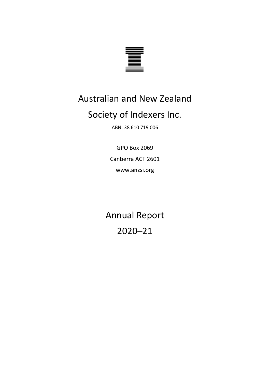

# Australian and New Zealand

# Society of Indexers Inc.

ABN: 38 610 719 006

GPO Box 2069 Canberra ACT 2601 www.anzsi.org

Annual Report 2020–21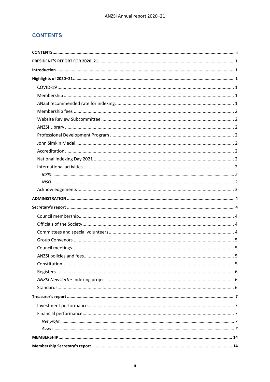# <span id="page-1-0"></span>**CONTENTS**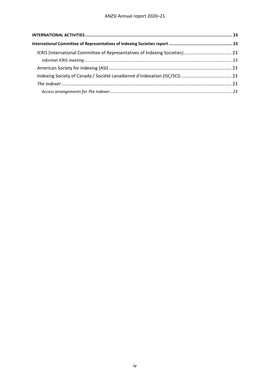#### ANZSI Annual report 2020–21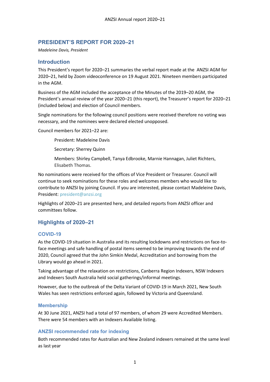# <span id="page-4-0"></span>**PRESIDENT'S REPORT FOR 2020–21**

*Madeleine Davis, President*

# <span id="page-4-1"></span>**Introduction**

This President's report for 2020–21 summaries the verbal report made at the ANZSI AGM for 2020–21, held by Zoom videoconference on 19 August 2021. Nineteen members participated in the AGM.

Business of the AGM included the acceptance of the Minutes of the 2019–20 AGM, the President's annual review of the year 2020–21 (this report), the Treasurer's report for 2020–21 (included below) and election of Council members.

Single nominations for the following council positions were received therefore no voting was necessary, and the nominees were declared elected unopposed.

Council members for 2021–22 are:

President: Madeleine Davis

Secretary: Sherrey Quinn

Members: Shirley Campbell, Tanya Edbrooke, Marnie Hannagan, Juliet Richters, Elisabeth Thomas.

No nominations were received for the offices of Vice President or Treasurer. Council will continue to seek nominations for these roles and welcomes members who would like to contribute to ANZSI by joining Council. If you are interested, please contact Madeleine Davis, President: [president@anzsi.org](mailto:president@anzsi.org)

Highlights of 2020–21 are presented here, and detailed reports from ANZSI officer and committees follow.

# <span id="page-4-2"></span>**Highlights of 2020–21**

#### <span id="page-4-3"></span>**COVID-19**

As the COVID-19 situation in Australia and its resulting lockdowns and restrictions on face-toface meetings and safe handling of postal items seemed to be improving towards the end of 2020, Council agreed that the John Simkin Medal, Accreditation and borrowing from the Library would go ahead in 2021.

Taking advantage of the relaxation on restrictions, Canberra Region Indexers, NSW Indexers and Indexers South Australia held social gatherings/informal meetings.

However, due to the outbreak of the Delta Variant of COVID-19 in March 2021, New South Wales has seen restrictions enforced again, followed by Victoria and Queensland.

#### <span id="page-4-4"></span>**Membership**

At 30 June 2021, ANZSI had a total of 97 members, of whom 29 were Accredited Members. There were 54 members with an Indexers Available listing.

#### <span id="page-4-5"></span>**ANZSI recommended rate for indexing**

Both recommended rates for Australian and New Zealand indexers remained at the same level as last year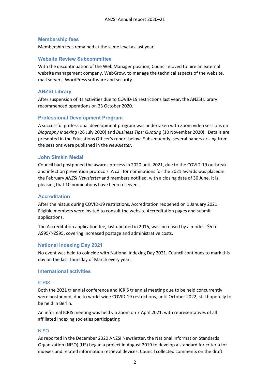#### <span id="page-5-0"></span>**Membership fees**

Membership fees remained at the same level as last year.

#### <span id="page-5-1"></span>**Website Review Subcommittee**

With the discontinuation of the Web Manager position, Council moved to hire an external website management company, WebGrow, to manage the technical aspects of the website, mail servers, WordPress software and security.

#### <span id="page-5-2"></span>**ANZSI Library**

After suspension of its activities due to COVID-19 restrictions last year, the ANZSI Library recommenced operations on 23 October 2020.

#### <span id="page-5-3"></span>**Professional Development Program**

A successful professional development program was undertaken with Zoom video sessions on *Biography Indexing* (26 July 2020) and *Business Tips: Quoting* (10 November 2020). Details are presented in the Educations Officer's report below. Subsequently, several papers arising from the sessions were published in the *Newsletter.*

#### <span id="page-5-4"></span>**John Simkin Medal**

Council had postponed the awards process in 2020 until 2021, due to the COVID-19 outbreak and infection prevention protocols. A call for nominations for the 2021 awards was placedin the February *ANZSI Newsletter* and members notified, with a closing date of 30 June. It is pleasing that 10 nominations have been received.

#### <span id="page-5-5"></span>**Accreditation**

After the hiatus during COVID-19 restrictions, Accreditation reopened on 1 January 2021. Eligible members were invited to consult the website Accreditation pages and submit applications.

The Accreditation application fee, last updated in 2016, was increased by a modest \$5 to A\$95/NZ\$95, covering increased postage and administrative costs.

#### <span id="page-5-6"></span>**National Indexing Day 2021**

No event was held to coincide with National Indexing Day 2021. Council continues to mark this day on the last Thursday of March every year.

#### <span id="page-5-7"></span>**International activities**

#### <span id="page-5-8"></span>ICRIS

Both the 2021 triennial conference and ICRIS triennial meeting due to be held concurrently were postponed, due to world-wide COVID-19 restrictions, until October 2022, still hopefully to be held in Berlin.

An informal ICRIS meeting was held via Zoom on 7 April 2021, with representatives of all affiliated indexing societies participating

#### <span id="page-5-9"></span>**NISO**

As reported in the December 2020 ANZSI Newsletter, the National Information Standards Organization (NISO) (US) began a project in August 2019 to develop a standard for criteria for indexes and related information retrieval devices. Council collected comments on the draft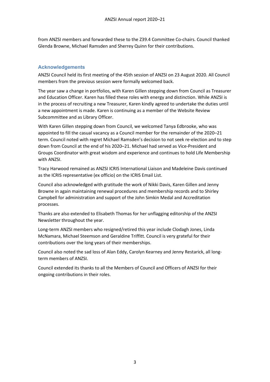from ANZSI members and forwarded these to the Z39.4 Committee Co-chairs. Council thanked Glenda Browne, Michael Ramsden and Sherrey Quinn for their contributions.

## <span id="page-6-0"></span>**Acknowledgements**

ANZSI Council held its first meeting of the 45th session of ANZSI on 23 August 2020. All Council members from the previous session were formally welcomed back.

The year saw a change in portfolios, with Karen Gillen stepping down from Council as Treasurer and Education Officer. Karen has filled these roles with energy and distinction. While ANZSI is in the process of recruiting a new Treasurer, Karen kindly agreed to undertake the duties until a new appointment is made. Karen is continuing as a member of the Website Review Subcommittee and as Library Officer.

With Karen Gillen stepping down from Council, we welcomed Tanya Edbrooke, who was appointed to fill the casual vacancy as a Council member for the remainder of the 2020–21 term. Council noted with regret Michael Ramsden's decision to not seek re-election and to step down from Council at the end of his 2020–21. Michael had served as Vice-President and Groups Coordinator with great wisdom and experience and continues to hold Life Membership with ANZSI.

Tracy Harwood remained as ANZSI ICRIS International Liaison and Madeleine Davis continued as the ICRIS representative (ex officio) on the ICRIS Email List.

Council also acknowledged with gratitude the work of Nikki Davis, Karen Gillen and Jenny Browne in again maintaining renewal procedures and membership records and to Shirley Campbell for administration and support of the John Simkin Medal and Accreditation processes.

Thanks are also extended to Elisabeth Thomas for her unflagging editorship of the ANZSI Newsletter throughout the year.

Long-term ANZSI members who resigned/retired this year include Clodagh Jones, Linda McNamara, Michael Steemson and Geraldine Triffitt. Council is very grateful for their contributions over the long years of their memberships.

Council also noted the sad loss of Alan Eddy, Carolyn Kearney and Jenny Restarick, all longterm members of ANZSI.

Council extended its thanks to all the Members of Council and Officers of ANZSI for their ongoing contributions in their roles.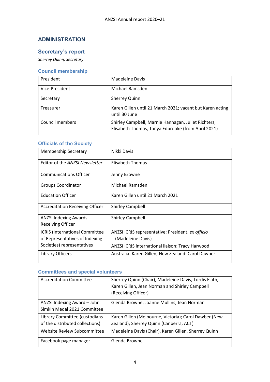# <span id="page-7-0"></span>**ADMINISTRATION**

# <span id="page-7-1"></span>**Secretary's report**

*Sherrey Quinn, Secretary*

# <span id="page-7-2"></span>**Council membership**

| President       | <b>Madeleine Davis</b>                                                                                    |
|-----------------|-----------------------------------------------------------------------------------------------------------|
| Vice-President  | Michael Ramsden                                                                                           |
| Secretary       | <b>Sherrey Quinn</b>                                                                                      |
| Treasurer       | Karen Gillen until 21 March 2021; vacant but Karen acting<br>until 30 June                                |
| Council members | Shirley Campbell, Marnie Hannagan, Juliet Richters,<br>Elisabeth Thomas, Tanya Edbrooke (from April 2021) |

# <span id="page-7-3"></span>**Officials of the Society**

| <b>Membership Secretary</b>                                                                           | Nikki Davis                                                                                                                       |
|-------------------------------------------------------------------------------------------------------|-----------------------------------------------------------------------------------------------------------------------------------|
| Editor of the ANZSI Newsletter                                                                        | Elisabeth Thomas                                                                                                                  |
| <b>Communications Officer</b>                                                                         | Jenny Browne                                                                                                                      |
| <b>Groups Coordinator</b>                                                                             | Michael Ramsden                                                                                                                   |
| <b>Education Officer</b>                                                                              | Karen Gillen until 21 March 2021                                                                                                  |
| Accreditation Receiving Officer                                                                       | <b>Shirley Campbell</b>                                                                                                           |
| <b>ANZSI Indexing Awards</b><br><b>Receiving Officer</b>                                              | <b>Shirley Campbell</b>                                                                                                           |
| <b>ICRIS</b> (International Committee<br>of Representatives of Indexing<br>Societies) representatives | ANZSI ICRIS representative: President, ex officio<br>(Madeleine Davis)<br><b>ANZSI ICRIS international liaison: Tracy Harwood</b> |
| Library Officers                                                                                      | Australia: Karen Gillen; New Zealand: Carol Dawber                                                                                |

# <span id="page-7-4"></span>**Committees and special volunteers**

| <b>Accreditation Committee</b>                             | Sherrey Quinn (Chair), Madeleine Davis, Tordis Flath,<br>Karen Gillen, Jean Norman and Shirley Campbell<br>(Receiving Officer) |
|------------------------------------------------------------|--------------------------------------------------------------------------------------------------------------------------------|
| ANZSI Indexing Award - John<br>Simkin Medal 2021 Committee | Glenda Browne, Joanne Mullins, Jean Norman                                                                                     |
| Library Committee (custodians                              | Karen Gillen (Melbourne, Victoria); Carol Dawber (New                                                                          |
| of the distributed collections)                            | Zealand); Sherrey Quinn (Canberra, ACT)                                                                                        |
| Website Review Subcommittee                                | Madeleine Davis (Chair), Karen Gillen, Sherrey Quinn                                                                           |
| Facebook page manager                                      | Glenda Browne                                                                                                                  |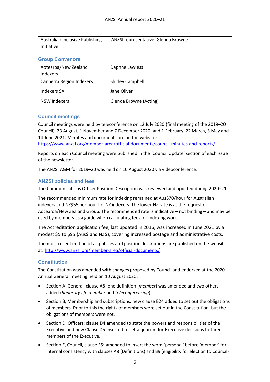| Australian Inclusive Publishing | ANZSI representative: Glenda Browne |
|---------------------------------|-------------------------------------|
| Initiative                      |                                     |

# <span id="page-8-0"></span>**Group Convenors**

| Aotearoa/New Zealand<br><b>Indexers</b> | Daphne Lawless          |
|-----------------------------------------|-------------------------|
| Canberra Region Indexers                | <b>Shirley Campbell</b> |
| Indexers SA                             | Jane Oliver             |
| <b>NSW Indexers</b>                     | Glenda Browne (Acting)  |

# <span id="page-8-1"></span>**Council meetings**

Council meetings were held by teleconference on 12 July 2020 (final meeting of the 2019–20 Council), 23 August, 1 November and 7 December 2020, and 1 February, 22 March, 3 May and 14 June 2021. Minutes and documents are on the website:

<https://www.anzsi.org/member-area/official-documents/council-minutes-and-reports/>

Reports on each Council meeting were published in the 'Council Update' section of each issue of the newsletter.

The ANZSI AGM for 2019–20 was held on 10 August 2020 via videoconference.

# <span id="page-8-2"></span>**ANZSI policies and fees**

The Communications Officer Position Description was reviewed and updated during 2020–21.

The recommended minimum rate for indexing remained at Aus\$70/hour for Australian indexers and NZ\$55 per hour for NZ indexers. The lower NZ rate is at the request of Aotearoa/New Zealand Group. The recommended rate is indicative – not binding – and may be used by members as a guide when calculating fees for indexing work.

The Accreditation application fee, last updated in 2016, was increased in June 2021 by a modest \$5 to \$95 (Aus\$ and NZ\$), covering increased postage and administrative costs.

The most recent edition of all policies and position descriptions are published on the website at:<http://www.anzsi.org/member-area/official-documents/>

# <span id="page-8-3"></span>**Constitution**

The Constitution was amended with changes proposed by Council and endorsed at the 2020 Annual General meeting held on 10 August 2020:

- Section A, General, clause A8: one definition (*member*) was amended and two others added (*honorary life member* and *teleconferencing*).
- Section B, Membership and subscriptions: new clause B24 added to set out the obligations of members. Prior to this the rights of members were set out in the Constitution, but the obligations of members were not.
- Section D, Officers: clause D4 amended to state the powers and responsibilities of the Executive and new Clause D5 inserted to set a quorum for Executive decisions to three members of the Executive.
- Section E, Council, clause E5: amended to insert the word 'personal' before 'member' for internal consistency with clauses A8 (Definitions) and B9 (eligibility for election to Council)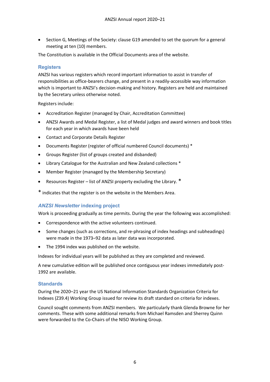• Section G, Meetings of the Society: clause G19 amended to set the quorum for a general meeting at ten (10) members.

The Constitution is available in the Official Documents area of the website.

#### <span id="page-9-0"></span>**Registers**

ANZSI has various registers which record important information to assist in transfer of responsibilities as office-bearers change, and present in a readily-accessible way information which is important to ANZSI's decision-making and history. Registers are held and maintained by the Secretary unless otherwise noted.

Registers include:

- Accreditation Register (managed by Chair, Accreditation Committee)
- ANZSI Awards and Medal Register, a list of Medal judges and award winners and book titles for each year in which awards have been held
- Contact and Corporate Details Register
- Documents Register (register of official numbered Council documents) \*
- Groups Register (list of groups created and disbanded)
- Library Catalogue for the Australian and New Zealand collections \*
- Member Register (managed by the Membership Secretary)
- Resources Register list of ANZSI property excluding the Library. \*
- \* indicates that the register is on the website in the Members Area.

#### <span id="page-9-1"></span>*ANZSI Newsletter* **indexing project**

Work is proceeding gradually as time permits. During the year the following was accomplished:

- Correspondence with the active volunteers continued.
- Some changes (such as corrections, and re-phrasing of index headings and subheadings) were made in the 1973–92 data as later data was incorporated.
- The 1994 index was published on the website.

Indexes for individual years will be published as they are completed and reviewed.

A new cumulative edition will be published once contiguous year indexes immediately post-1992 are available.

#### <span id="page-9-2"></span>**Standards**

During the 2020–21 year the US National Information Standards Organization Criteria for Indexes (Z39.4) Working Group issued for review its draft standard on criteria for indexes.

Council sought comments from ANZSI members. We particularly thank Glenda Browne for her comments. These with some additional remarks from Michael Ramsden and Sherrey Quinn were forwarded to the Co-Chairs of the NISO Working Group.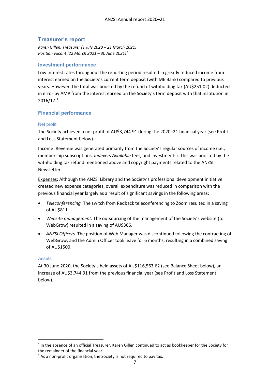# <span id="page-10-0"></span>**Treasurer's report**

*Karen Gillen, Treasurer (1 July 2020 – 21 March 2021) Position vacant (22 March 2021 – 30 June 2021)[1](#page-10-5)*

#### <span id="page-10-1"></span>**Investment performance**

Low interest rates throughout the reporting period resulted in greatly reduced income from interest earned on the Society's current term deposit (with ME Bank) compared to previous years. However, the total was boosted by the refund of withholding tax (AU\$251.02) deducted in error by AMP from the interest earned on the Society's term deposit with that institution in 2016/17.[2](#page-10-6)

#### <span id="page-10-2"></span>**Financial performance**

#### <span id="page-10-3"></span>Net profit

The Society achieved a net profit of AU\$3,744.91 during the 2020–21 financial year (see Profit and Loss Statement below).

Income: Revenue was generated primarily from the Society's regular sources of income (i.e., membership subscriptions, *Indexers Available* fees*,* and investments). This was boosted by the withholding tax refund mentioned above and copyright payments related to the ANZSI Newsletter.

Expenses: Although the ANZSI Library and the Society's professional development initiative created new expense categories, overall expenditure was reduced in comparison with the previous financial year largely as a result of significant savings in the following areas:

- *Teleconferencing.* The switch from Redback teleconferencing to Zoom resulted in a saving of AU\$811.
- *Website management.* The outsourcing of the management of the Society's website (to WebGrow) resulted in a saving of AU\$366.
- *ANZSI Officers*. The position of Web Manager was discontinued following the contracting of WebGrow, and the Admin Officer took leave for 6 months, resulting in a combined saving of AU\$1500.

#### <span id="page-10-4"></span>Assets

At 30 June 2020, the Society's held assets of AU\$116,563.62 (see Balance Sheet below), an increase of AU\$3,744.91 from the previous financial year (see Profit and Loss Statement below).

<span id="page-10-5"></span><sup>&</sup>lt;sup>1</sup> In the absence of an official Treasurer, Karen Gillen continued to act as bookkeeper for the Society for the remainder of the financial year.

<span id="page-10-6"></span> $2$  As a non-profit organisation, the Society is not required to pay tax.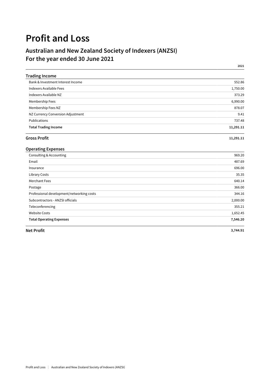# **Profit and Loss**

# **Australian and New Zealand Society of Indexers (ANZSI) For the year ended 30 June 2021**

**2021**

| <b>Trading Income</b>             |           |
|-----------------------------------|-----------|
| Bank & Investment Interest Income | 552.86    |
| Indexers Available Fees           | 1,750.00  |
| Indexers Available NZ             | 373.29    |
| Membership Fees                   | 6,990.00  |
| Membership Fees NZ                | 878.07    |
| NZ Currency Conversion Adjustment | 9.41      |
| Publications                      | 737.48    |
| <b>Total Trading Income</b>       | 11,291.11 |

#### **Gross Profit 11,291.11**

#### **Operating Expenses**

| Consulting & Accounting                   | 969.20   |
|-------------------------------------------|----------|
| Email                                     | 487.69   |
| Insurance                                 | 696.00   |
| <b>Library Costs</b>                      | 35.35    |
| Merchant Fees                             | 640.14   |
| Postage                                   | 366.00   |
| Professional development/networking costs | 344.16   |
| Subcontractors - ANZSI officials          | 2,000.00 |
| Teleconferencing                          | 355.21   |
| <b>Website Costs</b>                      | 1,652.45 |
| <b>Total Operating Expenses</b>           | 7,546.20 |

**Net Profit 3,744.91**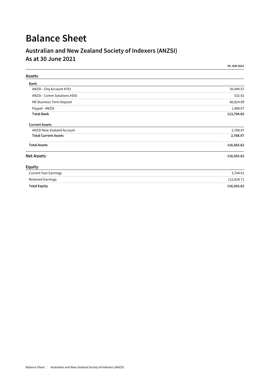# **Balance Sheet**

# **Australian and New Zealand Society of Indexers (ANZSI) As at 30 June 2021**

|                              | 30 JUN 2021 |
|------------------------------|-------------|
| Assets                       |             |
| Bank                         |             |
| ANZSI - Chq Account #791     | 50,449.57   |
| ANZSI - Comm Solutions #350  | 532.92      |
| ME Business Term Deposit     | 60,824.09   |
| Paypal - ANZSI               | 1,988.07    |
| <b>Total Bank</b>            | 113,794.65  |
| <b>Current Assets</b>        |             |
| ANZSI New Zealand Account    | 2,768.97    |
| <b>Total Current Assets</b>  | 2,768.97    |
| <b>Total Assets</b>          | 116,563.62  |
| <b>Net Assets</b>            | 116,563.62  |
| <b>Equity</b>                |             |
| <b>Current Year Earnings</b> | 3,744.91    |
| <b>Retained Earnings</b>     | 112,818.71  |
| <b>Total Equity</b>          | 116,563.62  |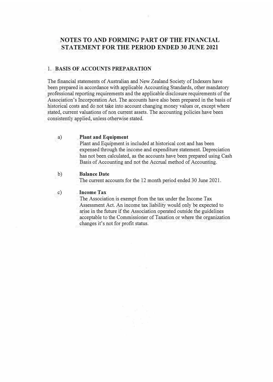# **NOTES TO AND FORMING PART OF THE FINANCIAL STATEMENT FOR THE PERIOD ENDED 30 JUNE 2021**

#### 1. **BASIS OF ACCOUNTS PREPARATION**

The financial statements of Australian and New Zealand Society of Indexers have been prepared in accordance with applicable Accounting Standards, other mandatory professional reporting requirements and the applicable disclosure requirements of the Association's Incorporation Act. The accounts have also been prepared in the basis of historical costs and do not take into account changing money values or, except where stated, current valuations of non current assets. The accounting policies have been consistently applied, unless otherwise stated.

#### a) **Plant and Equipment**

Plant and Equipment is included at historical cost and has been expensed through the income and expenditure statement. Depreciation has not been calculated, as the accounts have been prepared using Cash Basis of Accounting and not the Accrual method of Accounting.

# b) **Balance Date**

The current accounts for the 12 month period ended 30 June 2021.

# c) **Income Tax**

The Association is exempt from the tax under the Income Tax Assessment Act. An income tax liability would only be expected to arise in the future if the Association operated outside the guidelines acceptable to the Commissioner of Taxation or where the organization changes it's not for profit status.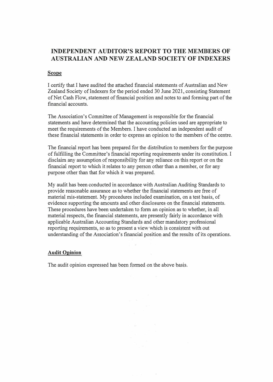# **INDEPENDENT AUDITOR'S REPORT TO THE MEMBERS OF AUSTRALIAN AND NEW ZEALAND SOCIETY OF INDEXERS**

#### Scope

I certify that I have audited the attached financial statements of Australian and New Zealand Society of Indexers for the period ended 30 June 2021, consisting Statement of Net Cash Flow, statement of financial position and notes to and forming part of the financial accounts.

The Association's Committee of Management is responsible for the financial statements and have determined that the accounting policies used are appropriate to meet the requirements of the Members. I have conducted an independent audit of these financial statements in order to express an opinion to the members of the centre.

The financial report has been prepared for the distribution to members for the purpose of fulfilling the Committee's financial reporting requirements under its constitution. I disclaim any assumption of responsibility for any reliance on this report or on the financial report to which it relates to any person other than a member, or for any purpose other than that for which it was prepared.

My audit has been conducted in accordance with Australian Auditing Standards to provide reasonable assurance as to whether the financial statements are free of material mis-statement. My procedures included examination, on a test basis, of evidence supporting the amounts and other disclosures on the financial statements. These procedures have been undertaken to form an opinion as to whether, in all material respects, the financial statements, are presently fairly in accordance with applicable Australian Accounting Standards and other mandatory professional reporting requirements, so as to present a view which is consistent with out understanding of the Association's financial position and the results of its operations.

make the control

#### **Audit Opinion**

The audit opinion expressed has been formed on the above basis.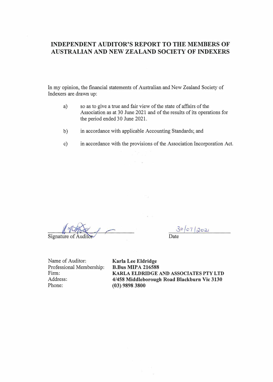# **INDEPENDENT AUDITOR'S REPORT TO THE MEMBERS OF AUSTRALIAN AND NEW ZEALAND SOCIETY OF INDEXERS**

In my opinion, the financial statements of Australian and New Zealand Society of Indexers are drawn up:

- a) so as to give a true and fair view of the state of affairs of the Association as at 30 June 2021 and of the results of its operations for the period ended 30 June 2021.
- b) in accordance with applicable Accounting Standards; and
- c) in accordance with the provisions of the Association Incorporation Act.

Signature of Auditor

 $30/07/2021$  $\overline{Date}$ 

Name of Auditor: **Karla Lee Eldridge**  Professional Membership: **B.Bus MIPA 216588** Firm: Address: Phone:

**KARLA ELDRIDGE AND ASSOCIATES PTY LTD 4/458 Middleborough Road Blackburn Vic 3130 (03) 9898 3800**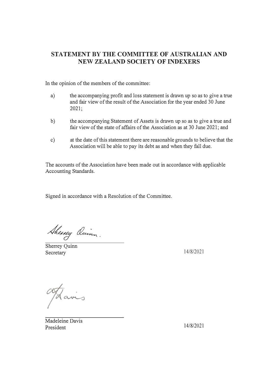# **STATEMENT BY THE COMMITTEE OF AUSTRALIAN AND NEW ZEALAND SOCIETY OF INDEXERS**

In the opinion of the members of the committee:

- a) the accompanying profit and loss statement is drawn up so as to give a true and fair view of the result of the Association for the year ended 30 June 2021;
- b) the accompanying Statement of Assets is drawn up so as to give a true and fair view of the state of affairs of the Association as at 30 June 2021; and
- c) at the date of this statement there are reasonable grounds to believe that the Association will be able to pay its debt as and when they fall due.

The accounts of the Association have been made out in accordance with applicable Accounting Standards.

Signed in accordance with a Resolution of the Committee.

Sheney Aum

Sherrey Quinn Secretary 14/8/2021

 $\alpha$ 

Madeleine Davis President 14/8/2021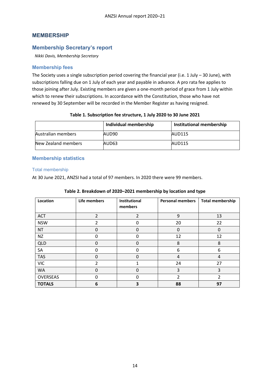## <span id="page-17-0"></span>**MEMBERSHIP**

#### <span id="page-17-1"></span>**Membership Secretary's report**

*Nikki Davis, Membership Secretary*

#### <span id="page-17-2"></span>**Membership fees**

The Society uses a single subscription period covering the financial year (i.e. 1 July – 30 June), with subscriptions falling due on 1 July of each year and payable in advance. A pro rata fee applies to those joining after July. Existing members are given a one-month period of grace from 1 July within which to renew their subscriptions. In accordance with the Constitution, those who have not renewed by 30 September will be recorded in the Member Register as having resigned.

#### **Table 1. Subscription fee structure, 1 July 2020 to 30 June 2021**

|                     | Individual membership | Institutional membership |
|---------------------|-----------------------|--------------------------|
| Australian members  | AUD90                 | <b>AUD115</b>            |
| New Zealand members | AUD63                 | AUD115                   |

#### <span id="page-17-3"></span>**Membership statistics**

#### <span id="page-17-4"></span>Total membership

At 30 June 2021, ANZSI had a total of 97 members. In 2020 there were 99 members.

| Location      | Life members   | Institutional<br>members | <b>Personal members</b> | <b>Total membership</b> |
|---------------|----------------|--------------------------|-------------------------|-------------------------|
| <b>ACT</b>    | $\overline{2}$ | 2                        | 9                       | 13                      |
| <b>NSW</b>    | 2              | 0                        | 20                      | 22                      |
| <b>NT</b>     | 0              | 0                        | 0                       | $\Omega$                |
| <b>NZ</b>     | 0              | 0                        | 12                      | 12                      |
| <b>QLD</b>    | 0              | 0                        | 8                       | 8                       |
| SA            | ŋ              | 0                        | 6                       | 6                       |
| <b>TAS</b>    | 0              | 0                        | 4                       | 4                       |
| <b>VIC</b>    | 2              |                          | 24                      | 27                      |
| <b>WA</b>     | Ω              | 0                        | 3                       | 3                       |
| OVERSEAS      | 0              | 0                        | 2                       | 2                       |
| <b>TOTALS</b> | 6              | 3                        | 88                      | 97                      |

#### **Table 2. Breakdown of 2020–2021 membership by location and type**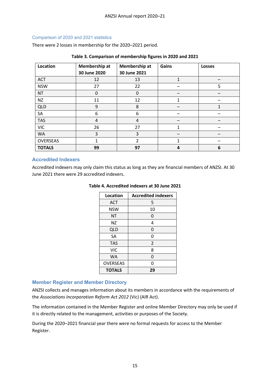#### <span id="page-18-0"></span>Comparison of 2020 and 2021 statistics

There were 2 losses in membership for the 2020–2021 period.

| Location      | Membership at<br>30 June 2020 | Membership at<br>30 June 2021 | Gains | <b>Losses</b> |
|---------------|-------------------------------|-------------------------------|-------|---------------|
| ACT           | 12                            | 13                            | 1     |               |
| <b>NSW</b>    | 27                            | 22                            |       | 5             |
| <b>NT</b>     | 0                             | 0                             |       |               |
| <b>NZ</b>     | 11                            | 12                            | 1     |               |
| <b>QLD</b>    | 9                             | 8                             |       |               |
| SA            | 6                             | 6                             |       |               |
| <b>TAS</b>    | 4                             | $\overline{4}$                |       |               |
| <b>VIC</b>    | 26                            | 27                            | 1     |               |
| <b>WA</b>     | 3                             | 3                             |       |               |
| OVERSEAS      | 1                             | $\overline{2}$                | 1     |               |
| <b>TOTALS</b> | 99                            | 97                            | 4     | 6             |

#### **Table 3. Comparison of membership figures in 2020 and 2021**

#### <span id="page-18-1"></span>**Accredited Indexers**

Accredited indexers may only claim this status as long as they are financial members of ANZSI. At 30 June 2021 there were 29 accredited indexers.

| Location        | <b>Accredited indexers</b> |
|-----------------|----------------------------|
| <b>ACT</b>      | 5                          |
| <b>NSW</b>      | 10                         |
| NT              | 0                          |
| ΝZ              | 4                          |
| <b>QLD</b>      | 0                          |
| SA              | 0                          |
| <b>TAS</b>      | 2                          |
| <b>VIC</b>      | 8                          |
| WA              | 0                          |
| <b>OVERSEAS</b> | ი                          |
| <b>TOTALS</b>   | 29                         |

#### **Table 4. Accredited indexers at 30 June 2021**

#### <span id="page-18-2"></span>**Member Register and Member Directory**

ANZSI collects and manages information about its members in accordance with the requirements of the *Associations Incorporation Reform Act 2012* (Vic) (AIR Act).

The information contained in the Member Register and online Member Directory may only be used if it is directly related to the management, activities or purposes of the Society.

During the 2020–2021 financial year there were no formal requests for access to the Member Register.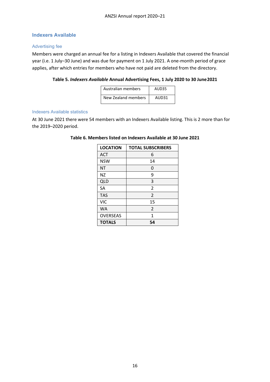# <span id="page-19-0"></span>**Indexers Available**

#### <span id="page-19-1"></span>Advertising fee

Members were charged an annual fee for a listing in Indexers Available that covered the financial year (i.e. 1 July–30 June) and was due for payment on 1 July 2021. A one-month period of grace applies, after which entries for members who have not paid are deleted from the directory.

#### **Table 5.** *Indexers Available* **Annual Advertising Fees, 1 July 2020 to 30 June2021**

| Australian members  | AUD <sub>35</sub> |
|---------------------|-------------------|
| New Zealand members | AUD <sub>31</sub> |

#### <span id="page-19-2"></span>Indexers Available statistics

At 30 June 2021 there were 54 members with an Indexers Available listing. This is 2 more than for the 2019–2020 period.

| <b>LOCATION</b> | <b>TOTAL SUBSCRIBERS</b> |
|-----------------|--------------------------|
| <b>ACT</b>      | 6                        |
| <b>NSW</b>      | 14                       |
| <b>NT</b>       | 0                        |
| <b>NZ</b>       | 9                        |
| <b>QLD</b>      | 3                        |
| SA              | $\overline{2}$           |
| <b>TAS</b>      | $\overline{2}$           |
| <b>VIC</b>      | 15                       |
| <b>WA</b>       | 2                        |
| <b>OVERSEAS</b> | 1                        |
| <b>TOTALS</b>   | 54                       |

#### **Table 6. Members listed on Indexers Available at 30 June 2021**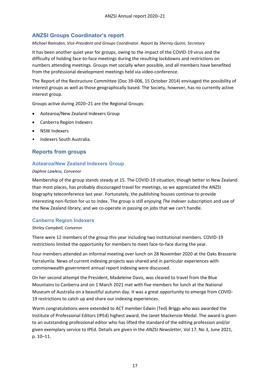# <span id="page-20-0"></span>**ANZSI Groups Coordinator's report**

*Michael Ramsden, Vice-President and Groups Coordinator. Report by Sherrey Quinn, Secretary*

It has been another quiet year for groups, owing to the impact of the COVID-19 virus and the difficulty of holding face-to-face meetings during the resulting lockdowns and restrictions on numbers attending meetings. Groups met socially when possible, and all members have benefited from the professional development meetings held via video-conference.

The Report of the Restructure Committee (Doc 39-006, 15 October 2014) envisaged the possibility of interest groups as well as those geographically based. The Society, however, has no currently active interest group.

Groups active during 2020–21 are the Regional Groups:

- Aotearoa/New Zealand Indexers Group
- Canberra Region Indexers
- NSW Indexers
- Indexers South Australia.

# <span id="page-20-1"></span>**Reports from groups**

## <span id="page-20-2"></span>**Aotearoa/New Zealand Indexers Group**

#### *Daphne Lawless, Convenor*

Membership of the group stands steady at 15. The COVID-19 situation, though better in New Zealand than most places, has probably discouraged travel for meetings, so we appreciated the ANZSI biography teleconference last year. Fortunately, the publishing houses continue to provide interesting non-fiction for us to index. The group is still enjoying *The Indexer* subscription and use of the New Zealand library, and we co-operate in passing on jobs that we can't handle.

# <span id="page-20-3"></span>**Canberra Region Indexers**

#### *Shirley Campbell, Convenor*

There were 12 members of the group this year including two institutional members. COVID-19 restrictions limited the opportunity for members to meet face-to-face during the year.

Four members attended an informal meeting over lunch on 28 November 2020 at the Oaks Brasserie Yarralumla. News of current indexing projects was shared and in particular experiences with commonwealth government annual report indexing were discussed.

On her second attempt the President, Madeleine Davis, was cleared to travel from the Blue Mountains to Canberra and on 1 March 2021 met with five members for lunch at the National Museum of Australia on a beautiful autumn day. It was a great opportunity to emerge from COVID-19 restrictions to catch up and share our indexing experiences.

Warm congratulations were extended to ACT member Edwin (Ted) Briggs who was awarded the Institute of Professional Editors (IPEd) highest award, the Janet Mackenzie Medal. The award is given to an outstanding professional editor who has lifted the standard of the editing profession and/or given exemplary service to IPEd. Details are given in the *ANZSI Newsletter*, Vol 17, No 3, June 2021, p. 10–11.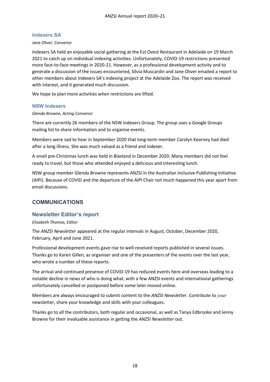## <span id="page-21-0"></span>**Indexers SA**

#### *Jane Oliver, Convenor*

Indexers SA held an enjoyable social gathering at the Est Ovest Restaurant in Adelaide on 19 March 2021 to catch up on individual indexing activities. Unfortunately, COVID-19 restrictions prevented more face-to-face meetings in 2020-21. However, as a professional development activity and to generate a discussion of the issues encountered, Silvia Muscardin and Jane Oliver emailed a report to other members about Indexers SA's indexing project at the Adelaide Zoo. The report was received with interest, and it generated much discussion.

We hope to plan more activities when restrictions are lifted.

#### <span id="page-21-1"></span>**NSW Indexers**

#### *Glenda Browne, Acting Convenor*

There are currently 26 members of the NSW Indexers Group. The group uses a Google Groups mailing list to share information and to organise events.

Members were sad to hear in September 2020 that long-term member Carolyn Kearney had died after a long illness. She was much valued as a friend and indexer.

A small pre-Christmas lunch was held in Blaxland in December 2020. Many members did not feel ready to travel, but those who attended enjoyed a delicious and interesting lunch.

NSW group member Glenda Browne represents ANZSI in the Australian Inclusive Publishing Initiative (AIPI). Because of COVID and the departure of the AIPI Chair not much happened this year apart from email discussions.

# <span id="page-21-2"></span>**COMMUNICATIONS**

# <span id="page-21-3"></span>**Newsletter Editor's report**

#### *Elisabeth Thomas, Editor*

The *ANZSI Newsletter* appeared at the regular intervals in August, October, December 2020, February, April and June 2021.

Professional development events gave rise to well-received reports published in several issues. Thanks go to Karen Gillen, as organiser and one of the presenters of the events over the last year, who wrote a number of these reports.

The arrival and continued presence of COVID-19 has reduced events here and overseas leading to a notable decline in news of who is doing what, with a few ANZSI events and international gatherings unfortunately cancelled or postponed before some later moved online.

Members are always encouraged to submit content to the *ANZSI Newsletter*. Contribute to *your*  newsletter, share your knowledge and skills with your colleagues.

Thanks go to all the contributors, both regular and occasional, as well as Tanya Edbrooke and Jenny Browne for their invaluable assistance in getting the *ANZSI Newsletter* out.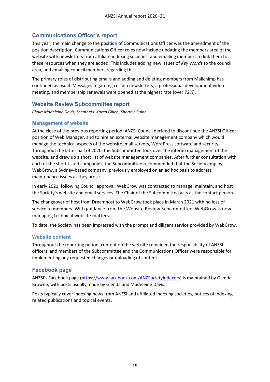# <span id="page-22-0"></span>**Communications Officer's report**

This year, the main change to the position of Communications Officer was the amendment of the position description. Communications Officer roles now include updating the members area of the website with newsletters from affiliate indexing societies, and emailing members to link them to these resources when they are added. This includes adding new issues of *Key Words* to the council area, and emailing council members regarding this.

The primary roles of distributing emails and adding and deleting members from Mailchimp has continued as usual. Messages regarding certain newsletters, a professional development video meeting, and membership renewals were opened at the highest rate (over 72%).

# <span id="page-22-1"></span>**Website Review Subcommittee report**

*Chair: Madeleine Davis; Members: Karen Gillen, Sherrey Quinn*

# <span id="page-22-2"></span>**Management of website**

At the close of the previous reporting period, ANZSI Council decided to discontinue the ANZSI Officer position of Web Manager, and to hire an external website management company which would manage the technical aspects of the website, mail servers, WordPress software and security. Throughout the latter half of 2020, the Subcommittee took over the interim management of the website, and drew up a short list of website management companies. After further consultation with each of the short-listed companies, the Subcommittee recommended that the Society employ WebGrow, a Sydney-based company, previously employed on an ad hoc basis to address maintenance issues as they arose.

In early 2021, following Council approval, WebGrow was contracted to manage, maintain, and host the Society's website and email services. The Chair of the Subcommittee acts as the contact person.

The changeover of host from Dreamhost to WebGrow took place in March 2021 with no loss of service to members. With guidance from the Website Review Subcommittee, WebGrow is now managing technical website matters.

To date, the Society has been impressed with the prompt and diligent service provided by WebGrow.

# <span id="page-22-3"></span>**Website content**

Throughout the reporting period, content on the website remained the responsibility of ANZSI officers, and members of the Subcommittee and the Communications Officer were responsible for implementing any requested changes or uploading of content.

# <span id="page-22-4"></span>**Facebook page**

ANZSI's Facebook page [\(https://www.facebook.com/ANZSocietyIndexers\)](https://www.facebook.com/ANZSocietyIndexers) is maintained by Glenda Browne, with posts usually made by Glenda and Madeleine Davis.

Posts typically cover indexing news from ANZSI and affiliated indexing societies, notices of indexingrelated publications and topical events.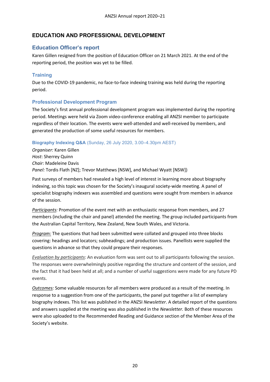# <span id="page-23-0"></span>**EDUCATION AND PROFESSIONAL DEVELOPMENT**

# <span id="page-23-1"></span>**Education Officer's report**

Karen Gillen resigned from the position of Education Officer on 21 March 2021. At the end of the reporting period, the position was yet to be filled.

# <span id="page-23-2"></span>**Training**

Due to the COVID-19 pandemic, no face-to-face indexing training was held during the reporting period.

# <span id="page-23-3"></span>**Professional Development Program**

The Society's first annual professional development program was implemented during the reporting period. Meetings were held via Zoom video-conference enabling all ANZSI member to participate regardless of their location. The events were well-attended and well-received by members, and generated the production of some useful resources for members.

## <span id="page-23-4"></span>**Biography Indexing Q&A** (Sunday, 26 July 2020, 3.00–4.30pm AEST)

*Organiser:* Karen Gillen *Host*: Sherrey Quinn *Chair:* Madeleine Davis *Panel:* Tordis Flath [NZ]; Trevor Matthews [NSW], and Michael Wyatt [NSW])

Past surveys of members had revealed a high level of interest in learning more about biography indexing, so this topic was chosen for the Society's inaugural society-wide meeting. A panel of specialist biography indexers was assembled and questions were sought from members in advance of the session.

*Participants:* Promotion of the event met with an enthusiastic response from members, and 27 members (including the chair and panel) attended the meeting. The group included participants from the Australian Capital Territory, New Zealand, New South Wales, and Victoria.

*Program:* The questions that had been submitted were collated and grouped into three blocks covering: headings and locators; subheadings; and production issues. Panellists were supplied the questions in advance so that they could prepare their responses.

*Evaluation by participants*: An evaluation form was sent out to all participants following the session. The responses were overwhelmingly positive regarding the structure and content of the session, and the fact that it had been held at all; and a number of useful suggestions were made for any future PD events.

*Outcomes:* Some valuable resources for all members were produced as a result of the meeting. In response to a suggestion from one of the participants, the panel put together a list of exemplary biography indexes. This list was published in the ANZSI *Newsletter*. A detailed report of the questions and answers supplied at the meeting was also published in the *Newsletter.* Both of these resources were also uploaded to the Recommended Reading and Guidance section of the Member Area of the Society's website.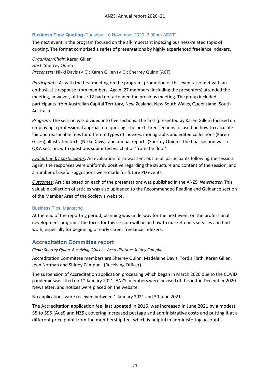## <span id="page-24-0"></span>**Business Tips: Quoting** (Tuesday, 10 November 2020, 3.00pm AEST)

The next event in the program focused on the all-important indexing business-related topic of quoting. The format comprised a series of presentations by highly experienced freelance indexers.

*Organiser/Chair*: Karen Gillen *Host:* Sherrey Quinn *Presenters:* Nikki Davis (VIC); Karen Gillen (VIC); Sherrey Quinn (ACT)

*Participants:* As with the first meeting on the program, promotion of this event also met with an enthusiastic response from members. Again, 27 members (including the presenters) attended the meeting, however, of these 12 had not attended the previous meeting. The group included participants from Australian Capital Territory, New Zealand, New South Wales, Queensland, South Australia.

*Program:* The session was divided into five sections. The first (presented by Karen Gillen) focused on employing a professional approach to quoting. The next three sections focused on how to calculate fair and reasonable fees for different types of indexes: monographs and edited collections (Karen Gillen); illustrated texts (Nikki Davis); and annual reports (Sherrey Quinn). The final section was a Q&A session, with questions submitted via chat or 'from the floor'.

*Evaluation by participants*: An evaluation form was sent out to all participants following the session. Again, the responses were uniformly positive regarding the structure and content of the session, and a number of useful suggestions were made for future PD events.

*Outcomes*: Articles based on each of the presentations was published in the ANZSI *Newsletter.* This valuable collection of articles was also uploaded to the Recommended Reading and Guidance section of the Member Area of the Society's website.

#### <span id="page-24-1"></span>Business Tips: Marketing

At the end of the reporting period, planning was underway for the next event on the professional development program. The focus for this session will be on how to market one's services and find work, especially for beginning or early career freelance indexers.

# <span id="page-24-2"></span>**Accreditation Committee report**

*Chair: Sherrey Quinn. Receiving Officer – Accreditation: Shirley Campbell.*

Accreditation Committee members are Sherrey Quinn, Madeleine Davis, Tordis Flath, Karen Gillen, Jean Norman and Shirley Campbell (Receiving Officer).

The suspension of Accreditation application processing which began in March 2020 due to the COVID pandemic was lifted on 1<sup>st</sup> January 2021. ANZSI members were advised of this in the December 2020 Newsletter, and notices were placed on the website.

No applications were received between 1 January 2021 and 30 June 2021.

The Accreditation application fee, last updated in 2016, was increased in June 2021 by a modest \$5 to \$95 (Aus\$ and NZ\$), covering increased postage and administrative costs and putting it at a different price point from the membership fee, which is helpful in administering accounts.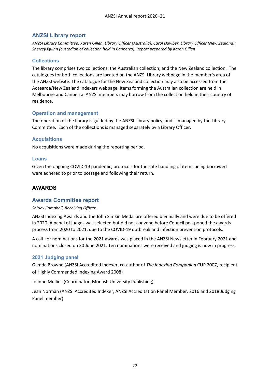# <span id="page-25-0"></span>**ANZSI Library report**

*ANZSI Library Committee: Karen Gillen, Library Officer (Australia); Carol Dawber, Library Officer (New Zealand); Sherrey Quinn (custodian of collection held in Canberra). Report prepared by Karen Gillen*

## <span id="page-25-1"></span>**Collections**

The library comprises two collections: the Australian collection; and the New Zealand collection. The catalogues for both collections are located on the ANZSI Library webpage in the member's area of the ANZSI website. The catalogue for the New Zealand collection may also be accessed from the Aotearoa/New Zealand Indexers webpage. Items forming the Australian collection are held in Melbourne and Canberra. ANZSI members may borrow from the collection held in their country of residence.

## <span id="page-25-2"></span>**Operation and management**

The operation of the library is guided by the ANZSI Library policy, and is managed by the Library Committee. Each of the collections is managed separately by a Library Officer.

## <span id="page-25-3"></span>**Acquisitions**

No acquisitions were made during the reporting period.

#### <span id="page-25-4"></span>**Loans**

Given the ongoing COVID-19 pandemic, protocols for the safe handling of items being borrowed were adhered to prior to postage and following their return.

# <span id="page-25-5"></span>**AWARDS**

# <span id="page-25-6"></span>**Awards Committee report**

*Shirley Campbell, Receiving Officer.*

ANZSI Indexing Awards and the John Simkin Medal are offered biennially and were due to be offered in 2020. A panel of judges was selected but did not convene before Council postponed the awards process from 2020 to 2021, due to the COVID-19 outbreak and infection prevention protocols.

A call for nominations for the 2021 awards was placed in the ANZSI Newsletter in February 2021 and nominations closed on 30 June 2021. Ten nominations were received and judging is now in progress.

#### <span id="page-25-7"></span>**2021 Judging panel**

Glenda Browne (ANZSI Accredited Indexer, co-author of *The Indexing Companion* CUP 2007, recipient of Highly Commended Indexing Award 2008)

Joanne Mullins (Coordinator, Monash University Publishing)

Jean Norman (ANZSI Accredited Indexer, ANZSI Accreditation Panel Member, 2016 and 2018 Judging Panel member)